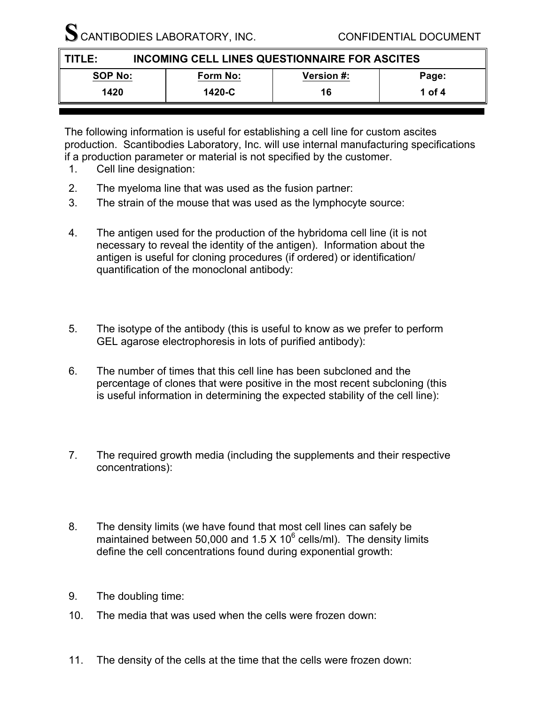SCANTIBODIES LABORATORY, INC. CONFIDENTIAL DOCUMENT

| INCOMING CELL LINES QUESTIONNAIRE FOR ASCITES<br>II TITLE: |          |                   |        |
|------------------------------------------------------------|----------|-------------------|--------|
| <b>SOP No:</b>                                             | Form No: | <b>Version #:</b> | Page:  |
| 1420                                                       | 1420-C   | 16                | 1 of 4 |
|                                                            |          |                   |        |

The following information is useful for establishing a cell line for custom ascites production. Scantibodies Laboratory, Inc. will use internal manufacturing specifications if a production parameter or material is not specified by the customer.

- 1. Cell line designation:
- 2. The myeloma line that was used as the fusion partner:
- 3. The strain of the mouse that was used as the lymphocyte source:
- 4. The antigen used for the production of the hybridoma cell line (it is not necessary to reveal the identity of the antigen). Information about the antigen is useful for cloning procedures (if ordered) or identification/ quantification of the monoclonal antibody:
- 5. The isotype of the antibody (this is useful to know as we prefer to perform GEL agarose electrophoresis in lots of purified antibody):
- 6. The number of times that this cell line has been subcloned and the percentage of clones that were positive in the most recent subcloning (this is useful information in determining the expected stability of the cell line):
- 7. The required growth media (including the supplements and their respective concentrations):
- 8. The density limits (we have found that most cell lines can safely be maintained between 50,000 and 1.5 X 10 $<sup>6</sup>$  cells/ml). The density limits</sup> define the cell concentrations found during exponential growth:
- 9. The doubling time:
- 10. The media that was used when the cells were frozen down:
- 11. The density of the cells at the time that the cells were frozen down: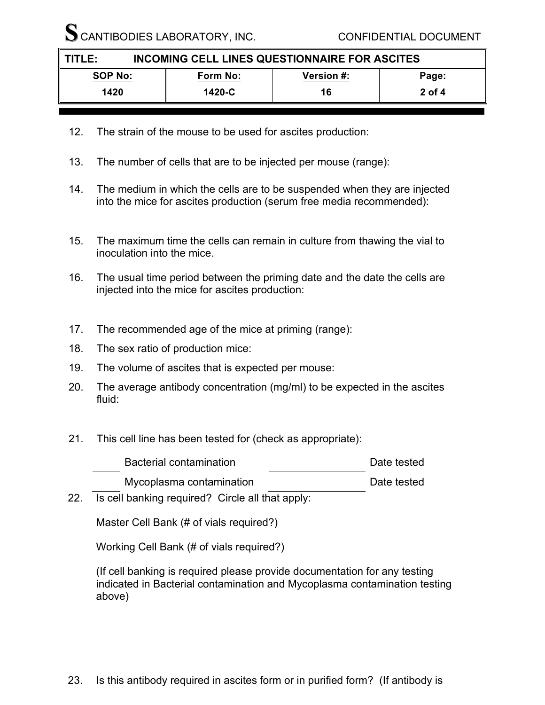SCANTIBODIES LABORATORY, INC. CONFIDENTIAL DOCUMENT

| INCOMING CELL LINES QUESTIONNAIRE FOR ASCITES<br>TITLE: |          |                   |          |
|---------------------------------------------------------|----------|-------------------|----------|
| <b>SOP No:</b>                                          | Form No: | <b>Version #:</b> | Page:    |
| 1420                                                    | 1420-C   | 16                | $2$ of 4 |

- 12. The strain of the mouse to be used for ascites production:
- 13. The number of cells that are to be injected per mouse (range):
- 14. The medium in which the cells are to be suspended when they are injected into the mice for ascites production (serum free media recommended):
- 15. The maximum time the cells can remain in culture from thawing the vial to inoculation into the mice.
- 16. The usual time period between the priming date and the date the cells are injected into the mice for ascites production:
- 17. The recommended age of the mice at priming (range):
- 18. The sex ratio of production mice:
- 19. The volume of ascites that is expected per mouse:
- 20. The average antibody concentration (mg/ml) to be expected in the ascites fluid:
- 21. This cell line has been tested for (check as appropriate):

| Bacterial contamination  | Date tested |
|--------------------------|-------------|
| Mycoplasma contamination | Date tested |

22. Is cell banking required? Circle all that apply:

Master Cell Bank (# of vials required?)

Working Cell Bank (# of vials required?)

(If cell banking is required please provide documentation for any testing indicated in Bacterial contamination and Mycoplasma contamination testing above)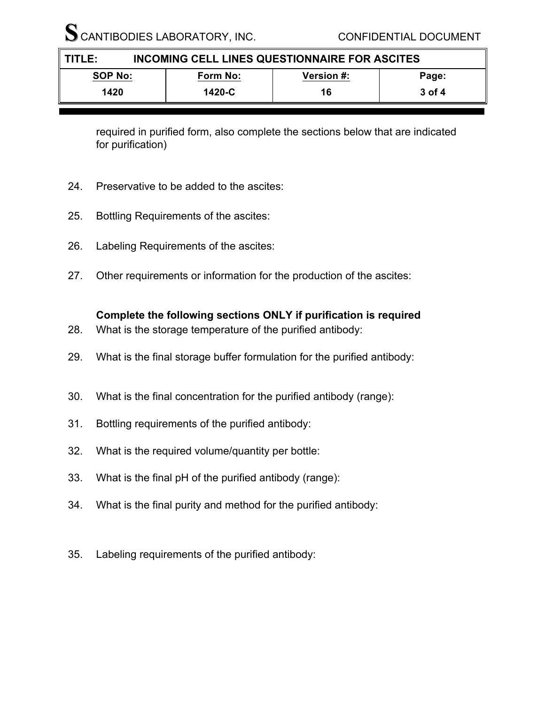SCANTIBODIES LABORATORY, INC. CONFIDENTIAL DOCUMENT

| INCOMING CELL LINES QUESTIONNAIRE FOR ASCITES<br>TITLE: |          |                   |        |
|---------------------------------------------------------|----------|-------------------|--------|
| <b>SOP No:</b>                                          | Form No: | <b>Version #:</b> | Page:  |
| 1420                                                    | 1420-C   | 16                | 3 of 4 |

required in purified form, also complete the sections below that are indicated for purification)

- 24. Preservative to be added to the ascites:
- 25. Bottling Requirements of the ascites:
- 26. Labeling Requirements of the ascites:
- 27. Other requirements or information for the production of the ascites:

## **Complete the following sections ONLY if purification is required**

- 28. What is the storage temperature of the purified antibody:
- 29. What is the final storage buffer formulation for the purified antibody:
- 30. What is the final concentration for the purified antibody (range):
- 31. Bottling requirements of the purified antibody:
- 32. What is the required volume/quantity per bottle:
- 33. What is the final pH of the purified antibody (range):
- 34. What is the final purity and method for the purified antibody:
- 35. Labeling requirements of the purified antibody: